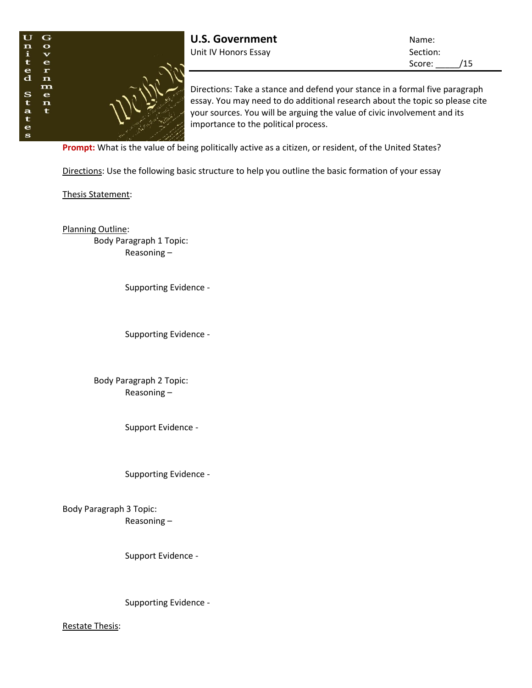

**U.S. Government** Name: Unit IV Honors Essay Section:

Score: /15

Directions: Take a stance and defend your stance in a formal five paragraph essay. You may need to do additional research about the topic so please cite your sources. You will be arguing the value of civic involvement and its importance to the political process.

**Prompt:** What is the value of being politically active as a citizen, or resident, of the United States?

Directions: Use the following basic structure to help you outline the basic formation of your essay

Thesis Statement:

Planning Outline: Body Paragraph 1 Topic: Reasoning –

Supporting Evidence -

Supporting Evidence -

Body Paragraph 2 Topic: Reasoning –

Support Evidence -

Supporting Evidence -

Body Paragraph 3 Topic: Reasoning –

Support Evidence -

Supporting Evidence -

Restate Thesis: